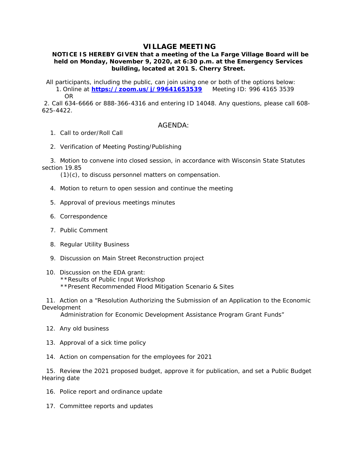## **VILLAGE MEETING**

## **NOTICE IS HEREBY GIVEN that a meeting of the La Farge Village Board will be held on Monday, November 9, 2020, at 6:30 p.m. at the Emergency Services building, located at 201 S. Cherry Street.**

 All participants, including the public, can join using one or both of the options below: 1. Online at **https://zoom.us/j/99641653539** Meeting ID: 996 4165 3539 OR

 2. Call 634-6666 or 888-366-4316 and entering ID 14048. Any questions, please call 608- 625-4422.

## AGENDA:

- 1. Call to order/Roll Call
- 2. Verification of Meeting Posting/Publishing

 3. Motion to convene into closed session, in accordance with Wisconsin State Statutes section 19.85

(1)(c), to discuss personnel matters on compensation.

- 4. Motion to return to open session and continue the meeting
- 5. Approval of previous meetings minutes
- 6. Correspondence
- 7. Public Comment
- 8. Regular Utility Business
- 9. Discussion on Main Street Reconstruction project
- 10. Discussion on the EDA grant: \*\*Results of Public Input Workshop \*\*Present Recommended Flood Mitigation Scenario & Sites

 11. Action on a "Resolution Authorizing the Submission of an Application to the Economic Development

Administration for Economic Development Assistance Program Grant Funds"

- 12. Any old business
- 13. Approval of a sick time policy
- 14. Action on compensation for the employees for 2021

 15. Review the 2021 proposed budget, approve it for publication, and set a Public Budget Hearing date

- 16. Police report and ordinance update
- 17. Committee reports and updates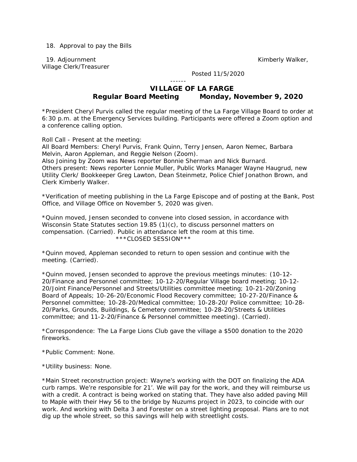18. Approval to pay the Bills

19. Adjournment **Kimberly Walker, and The Contract Contract Contract Contract Contract Contract Contract Control Contract Contract Contract Contract Contract Contract Contract Contract Contract Contract Contract Contract C** Village Clerk/Treasurer

Posted 11/5/2020

## ------  **VILLAGE OF LA FARGE Regular Board Meeting Monday, November 9, 2020**

\*President Cheryl Purvis called the regular meeting of the La Farge Village Board to order at 6:30 p.m. at the Emergency Services building. Participants were offered a Zoom option and a conference calling option.

Roll Call - Present at the meeting:

All Board Members: Cheryl Purvis, Frank Quinn, Terry Jensen, Aaron Nemec, Barbara Melvin, Aaron Appleman, and Reggie Nelson (Zoom).

Also Joining by Zoom was News reporter Bonnie Sherman and Nick Burnard. Others present: News reporter Lonnie Muller, Public Works Manager Wayne Haugrud, new Utility Clerk/ Bookkeeper Greg Lawton, Dean Steinmetz, Police Chief Jonathon Brown, and Clerk Kimberly Walker.

\*Verification of meeting publishing in the La Farge Episcope and of posting at the Bank, Post Office, and Village Office on November 5, 2020 was given.

\*Quinn moved, Jensen seconded to convene into closed session, in accordance with Wisconsin State Statutes section 19.85 (1)(c), to discuss personnel matters on compensation. (Carried). Public in attendance left the room at this time. \*\*\*CLOSED SESSION\*\*\*

\*Quinn moved, Appleman seconded to return to open session and continue with the meeting. (Carried).

\*Quinn moved, Jensen seconded to approve the previous meetings minutes: (10-12- 20/Finance and Personnel committee; 10-12-20/Regular Village board meeting; 10-12- 20/Joint Finance/Personnel and Streets/Utilities committee meeting; 10-21-20/Zoning Board of Appeals; 10-26-20/Economic Flood Recovery committee; 10-27-20/Finance & Personnel committee; 10-28-20/Medical committee; 10-28-20/ Police committee; 10-28- 20/Parks, Grounds, Buildings, & Cemetery committee; 10-28-20/Streets & Utilities committee; and 11-2-20/Finance & Personnel committee meeting). (Carried).

\*Correspondence: The La Farge Lions Club gave the village a \$500 donation to the 2020 fireworks.

\*Public Comment: None.

\*Utility business: None.

\*Main Street reconstruction project: Wayne's working with the DOT on finalizing the ADA curb ramps. We're responsible for 21'. We will pay for the work, and they will reimburse us with a credit. A contract is being worked on stating that. They have also added paving Mill to Maple with their Hwy 56 to the bridge by Nuzums project in 2023, to coincide with our work. And working with Delta 3 and Forester on a street lighting proposal. Plans are to not dig up the whole street, so this savings will help with streetlight costs.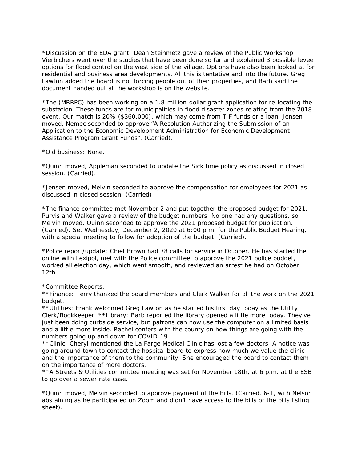\*Discussion on the EDA grant: Dean Steinmetz gave a review of the Public Workshop. Vierbichers went over the studies that have been done so far and explained 3 possible levee options for flood control on the west side of the village. Options have also been looked at for residential and business area developments. All this is tentative and into the future. Greg Lawton added the board is not forcing people out of their properties, and Barb said the document handed out at the workshop is on the website.

\*The (MRRPC) has been working on a 1.8-million-dollar grant application for re-locating the substation. These funds are for municipalities in flood disaster zones relating from the 2018 event. Our match is 20% (\$360,000), which may come from TIF funds or a loan. Jensen moved, Nemec seconded to approve "A Resolution Authorizing the Submission of an Application to the Economic Development Administration for Economic Development Assistance Program Grant Funds". (Carried).

\*Old business: None.

\*Quinn moved, Appleman seconded to update the Sick time policy as discussed in closed session. (Carried).

\*Jensen moved, Melvin seconded to approve the compensation for employees for 2021 as discussed in closed session. (Carried).

\*The finance committee met November 2 and put together the proposed budget for 2021. Purvis and Walker gave a review of the budget numbers. No one had any questions, so Melvin moved, Quinn seconded to approve the 2021 proposed budget for publication. (Carried). Set Wednesday, December 2, 2020 at 6:00 p.m. for the Public Budget Hearing, with a special meeting to follow for adoption of the budget. (Carried).

\*Police report/update: Chief Brown had 78 calls for service in October. He has started the online with Lexipol, met with the Police committee to approve the 2021 police budget, worked all election day, which went smooth, and reviewed an arrest he had on October 12th.

\*Committee Reports:

\*\*Finance: Terry thanked the board members and Clerk Walker for all the work on the 2021 budget.

\*\*Utilities: Frank welcomed Greg Lawton as he started his first day today as the Utility Clerk/Bookkeeper. \*\*Library: Barb reported the library opened a little more today. They've just been doing curbside service, but patrons can now use the computer on a limited basis and a little more inside. Rachel confers with the county on how things are going with the numbers going up and down for COVID-19.

\*\*Clinic: Cheryl mentioned the La Farge Medical Clinic has lost a few doctors. A notice was going around town to contact the hospital board to express how much we value the clinic and the importance of them to the community. She encouraged the board to contact them on the importance of more doctors.

\*\*A Streets & Utilities committee meeting was set for November 18th, at 6 p.m. at the ESB to go over a sewer rate case.

\*Quinn moved, Melvin seconded to approve payment of the bills. (Carried, 6-1, with Nelson abstaining as he participated on Zoom and didn't have access to the bills or the bills listing sheet).